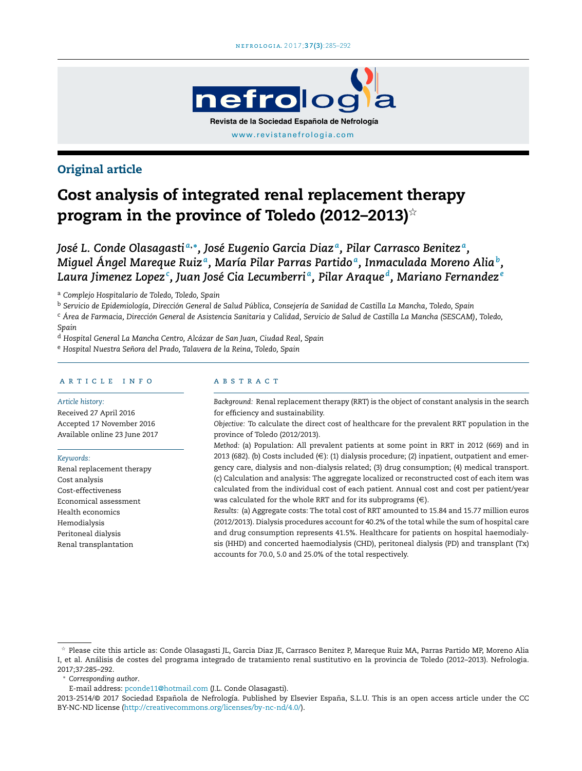

# Original article

# Cost analysis of integrated renal replacement therapy program in the province of Toledo (2012–2013) $^{\scriptscriptstyle\mathrm{\star}}$

*José L. Conde Olasagasti <sup>a</sup>*,<sup>∗</sup> *, José Eugenio Garcia Diaz <sup>a</sup> , Pilar Carrasco Benitez <sup>a</sup> , Miguel Ángel Mareque Ruiz <sup>a</sup> , María Pilar Parras Partido <sup>a</sup> , Inmaculada Moreno Alia<sup>b</sup> , Laura Jimenez Lopez<sup>c</sup> , Juan José Cia Lecumberri <sup>a</sup> , Pilar Araque <sup>d</sup> , Mariano Fernandez<sup>e</sup>*

<sup>a</sup> *Complejo Hospitalario de Toledo, Toledo, Spain*

<sup>b</sup> Servicio de Epidemiología, Dirección General de Salud Pública, Consejería de Sanidad de Castilla La Mancha, Toledo, Spain

<sup>c</sup> Área de Farmacia, Dirección General de Asistencia Sanitaria y Calidad, Servicio de Salud de Castilla La Mancha (SESCAM), Toledo,

*Spain*

<sup>d</sup> *Hospital General La Mancha Centro, Alcázar de San Juan, Ciudad Real, Spain*

<sup>e</sup> *Hospital Nuestra Senora ˜ del Prado, Talavera de la Reina, Toledo, Spain*

#### a r t i c l e i n f o

*Article history:*

Received 27 April 2016 Accepted 17 November 2016 Available online 23 June 2017

#### *Keywords:*

Renal replacement therapy Cost analysis Cost-effectiveness Economical assessment Health economics Hemodialysis Peritoneal dialysis Renal transplantation

#### a b s t r a c t

*Background:* Renal replacement therapy (RRT) is the object of constant analysis in the search for efficiency and sustainability.

*Objective:* To calculate the direct cost of healthcare for the prevalent RRT population in the province of Toledo (2012/2013).

*Method:* (a) Population: All prevalent patients at some point in RRT in 2012 (669) and in 2013 (682). (b) Costs included ( $\in$ ): (1) dialysis procedure; (2) inpatient, outpatient and emergency care, dialysis and non-dialysis related; (3) drug consumption; (4) medical transport. (c) Calculation and analysis: The aggregate localized or reconstructed cost of each item was calculated from the individual cost of each patient. Annual cost and cost per patient/year was calculated for the whole RRT and for its subprograms ( $\in$ ).

*Results:* (a) Aggregate costs: The total cost of RRT amounted to 15.84 and 15.77 million euros (2012/2013). Dialysis procedures account for 40.2% of the total while the sum of hospital care and drug consumption represents 41.5%. Healthcare for patients on hospital haemodialysis (HHD) and concerted haemodialysis (CHD), peritoneal dialysis (PD) and transplant (Tx) accounts for 70.0, 5.0 and 25.0% of the total respectively.

 $^\star$  Please cite this article as: Conde Olasagasti JL, Garcia Diaz JE, Carrasco Benitez P, Mareque Ruiz MA, Parras Partido MP, Moreno Alia I, et al. Análisis de costes del programa integrado de tratamiento renal sustitutivo en la provincia de Toledo (2012–2013). Nefrologia. 2017;37:285–292.

<sup>∗</sup> *Corresponding author*.

E-mail address: [pconde11@hotmail.com](mailto:pconde11@hotmail.com) (J.L. Conde Olasagasti).

<sup>2013-2514/@ 2017</sup> Sociedad Española de Nefrología. Published by Elsevier España, S.L.U. This is an open access article under the CC BY-NC-ND license (<http://creativecommons.org/licenses/by-nc-nd/4.0/>).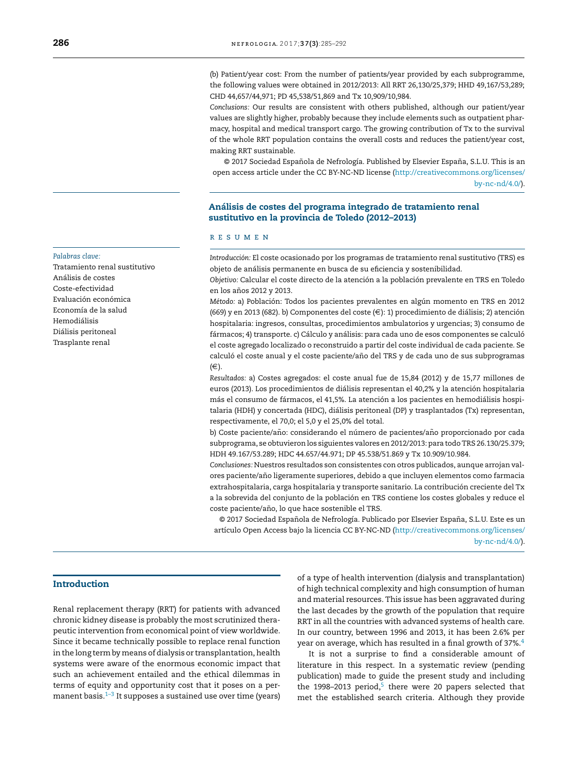(b) Patient/year cost: From the number of patients/year provided by each subprogramme, the following values were obtained in 2012/2013: All RRT 26,130/25,379; HHD 49,167/53,289; CHD 44,657/44,971; PD 45,538/51,869 and Tx 10,909/10,984.

*Conclusions:* Our results are consistent with others published, although our patient/year values are slightly higher, probably because they include elements such as outpatient pharmacy, hospital and medical transport cargo. The growing contribution of Tx to the survival of the whole RRT population contains the overall costs and reduces the patient/year cost, making RRT sustainable.

© 2017 Sociedad Española de Nefrología. Published by Elsevier España, S.L.U. This is an open access article under the CC BY-NC-ND license [\(http://creativecommons.org/licenses/](http://creativecommons.org/licenses/by-nc-nd/4.0/) [by-nc-nd/4.0/\)](http://creativecommons.org/licenses/by-nc-nd/4.0/).

# Análisis de costes del programa integrado de tratamiento renal sustitutivo en la provincia de Toledo (2012–2013)

#### r e s u m e n

*Introducción:* El coste ocasionado por los programas de tratamiento renal sustitutivo (TRS) es objeto de análisis permanente en busca de su eficiencia y sostenibilidad.

*Objetivo:* Calcular el coste directo de la atención a la población prevalente en TRS en Toledo en los años 2012 y 2013.

*Método:* a) Población: Todos los pacientes prevalentes en algún momento en TRS en 2012 (669) y en 2013 (682). b) Componentes del coste  $(\in)$ : 1) procedimiento de diálisis; 2) atención hospitalaria: ingresos, consultas, procedimientos ambulatorios y urgencias; 3) consumo de fármacos; 4) transporte. c) Cálculo y análisis: para cada uno de esos componentes se calculó el coste agregado localizado o reconstruido a partir del coste individual de cada paciente. Se calculó el coste anual y el coste paciente/año del TRS y de cada uno de sus subprogramas  $(\in)$ 

*Resultados:* a) Costes agregados: el coste anual fue de 15,84 (2012) y de 15,77 millones de euros (2013). Los procedimientos de diálisis representan el 40,2% y la atención hospitalaria más el consumo de fármacos, el 41,5%. La atención a los pacientes en hemodiálisis hospitalaria (HDH) y concertada (HDC), diálisis peritoneal (DP) y trasplantados (Tx) representan, respectivamente, el 70,0; el 5,0 y el 25,0% del total.

b) Coste paciente/año: considerando el número de pacientes/año proporcionado por cada subprograma, se obtuvieron los siguientes valores en 2012/2013: para todo TRS 26.130/25.379; HDH 49.167/53.289; HDC 44.657/44.971; DP 45.538/51.869 y Tx 10.909/10.984.

*Conclusiones:* Nuestros resultados son consistentes con otros publicados, aunque arrojan valores paciente/año ligeramente superiores, debido a que incluyen elementos como farmacia extrahospitalaria, carga hospitalaria y transporte sanitario. La contribución creciente del Tx a la sobrevida del conjunto de la población en TRS contiene los costes globales y reduce el coste paciente/año, lo que hace sostenible el TRS.

© 2017 Sociedad Española de Nefrología. Publicado por Elsevier España, S.L.U. Este es un artículo Open Access bajo la licencia CC BY-NC-ND [\(http://creativecommons.org/licenses/](http://creativecommons.org/licenses/by-nc-nd/4.0/) [by-nc-nd/4.0/\)](http://creativecommons.org/licenses/by-nc-nd/4.0/).

#### Introduction

Renal replacement therapy (RRT) for patients with advanced chronic kidney disease is probably the most scrutinized therapeutic intervention from economical point of view worldwide. Since it became technically possible to replace renal function in the long term by means of dialysis or transplantation, health systems were aware of the enormous economic impact that such an achievement entailed and the ethical dilemmas in terms of equity and opportunity cost that it poses on a permanent basis. $1-3$  It supposes a sustained use over time (years) of a type of health intervention (dialysis and transplantation) of high technical complexity and high consumption of human and material resources. This issue has been aggravated during the last decades by the growth of the population that require RRT in all the countries with advanced systems of health care. In our country, between 1996 and 2013, it has been 2.6% per year on average, which has resulted in a final growth of 37%.<sup>[4](#page-7-0)</sup>

It is not a surprise to find a considerable amount of literature in this respect. In a systematic review (pending publication) made to guide the present study and including the 1998–2013 period,<sup>[5](#page-7-0)</sup> there were 20 papers selected that met the established search criteria. Although they provide

#### *Palabras clave:*

Tratamiento renal sustitutivo Análisis de costes Coste-efectividad Evaluación económica Economía de la salud Hemodiálisis Diálisis peritoneal Trasplante renal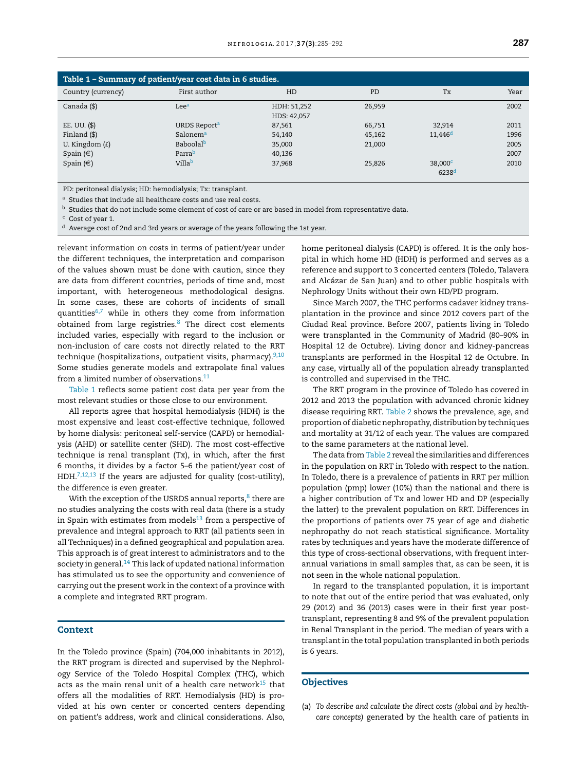| Table 1 - Summary of patient/year cost data in 6 studies. |                          |             |        |                       |      |  |  |
|-----------------------------------------------------------|--------------------------|-------------|--------|-----------------------|------|--|--|
| Country (currency)                                        | First author             | HD          | PD     | Tx                    | Year |  |  |
| Canada (\$)                                               | Lee <sup>a</sup>         | HDH: 51,252 | 26,959 |                       | 2002 |  |  |
|                                                           |                          | HDS: 42,057 |        |                       |      |  |  |
| EE. UU. $(\$)$                                            | URDS Report <sup>a</sup> | 87,561      | 66,751 | 32,914                | 2011 |  |  |
| Finland $(\$)$                                            | Salonem <sup>a</sup>     | 54,140      | 45,162 | $11,446$ <sup>d</sup> | 1996 |  |  |
| U. Kingdom $(f)$                                          | Baboolal <sup>b</sup>    | 35,000      | 21,000 |                       | 2005 |  |  |
| Spain $(\in)$                                             | Parrab                   | 40,136      |        |                       | 2007 |  |  |
| Spain $(\in)$                                             | Villab                   | 37,968      | 25,826 | $38,000^\circ$        | 2010 |  |  |
|                                                           |                          |             |        | 6238 <sup>d</sup>     |      |  |  |

PD: peritoneal dialysis; HD: hemodialysis; Tx: transplant.

<sup>a</sup> Studies that include all healthcare costs and use real costs.

**b** Studies that do not include some element of cost of care or are based in model from representative data.

<sup>c</sup> Cost of year 1.

<sup>d</sup> Average cost of 2nd and 3rd years or average of the years following the 1st year.

relevant information on costs in terms of patient/year under the different techniques, the interpretation and comparison of the values shown must be done with caution, since they are data from different countries, periods of time and, most important, with heterogeneous methodological designs. In some cases, these are cohorts of incidents of small quantities<sup>[6,7](#page-7-0)</sup> while in others they come from information obtained from large registries.[8](#page-7-0) The direct cost elements included varies, especially with regard to the inclusion or non-inclusion of care costs not directly related to the RRT technique (hospitalizations, outpatient visits, pharmacy). $9,10$ Some studies generate models and extrapolate final values from a limited number of observations. $11$ 

Table 1 reflects some patient cost data per year from the most relevant studies or those close to our environment.

All reports agree that hospital hemodialysis (HDH) is the most expensive and least cost-effective technique, followed by home dialysis: peritoneal self-service (CAPD) or hemodialysis (AHD) or satellite center (SHD). The most cost-effective technique is renal transplant (Tx), in which, after the first 6 months, it divides by a factor 5–6 the patient/year cost of HDH. $^{7,12,13}$  $^{7,12,13}$  $^{7,12,13}$  If the years are adjusted for quality (cost-utility), the difference is even greater.

Wi[th](#page-7-0) the exception of the USRDS annual reports, $^8$  there are no studies analyzing the costs with real data (there is a study in Spain with estimates from models $^{13}$  $^{13}$  $^{13}$  from a perspective of prevalence and integral approach to RRT (all patients seen in all Techniques) in a defined geographical and population area. This approach is of great interest to administrators and to the society in general. $^{14}$  $^{14}$  $^{14}$  This lack of updated national information has stimulated us to see the opportunity and convenience of carrying out the present work in the context of a province with a complete and integrated RRT program.

#### **Context**

In the Toledo province (Spain) (704,000 inhabitants in 2012), the RRT program is directed and supervised by the Nephrology Service of the Toledo Hospital Complex (THC), which acts as the main renal unit of a health care network $15$  that offers all the modalities of RRT. Hemodialysis (HD) is provided at his own center or concerted centers depending on patient's address, work and clinical considerations. Also, home peritoneal dialysis (CAPD) is offered. It is the only hospital in which home HD (HDH) is performed and serves as a reference and support to 3 concerted centers (Toledo, Talavera and Alcázar de San Juan) and to other public hospitals with Nephrology Units without their own HD/PD program.

Since March 2007, the THC performs cadaver kidney transplantation in the province and since 2012 covers part of the Ciudad Real province. Before 2007, patients living in Toledo were transplanted in the Community of Madrid (80–90% in Hospital 12 de Octubre). Living donor and kidney-pancreas transplants are performed in the Hospital 12 de Octubre. In any case, virtually all of the population already transplanted is controlled and supervised in the THC.

The RRT program in the province of Toledo has covered in 2012 and 2013 the population with advanced chronic kidney disease requiring RRT. [Table](#page-3-0) 2 shows the prevalence, age, and proportion of diabetic nephropathy, distribution by techniques and mortality at 31/12 of each year. The values are compared to the same parameters at the national level.

The data from [Table](#page-3-0) 2 reveal the similarities and differences in the population on RRT in Toledo with respect to the nation. In Toledo, there is a prevalence of patients in RRT per million population (pmp) lower (10%) than the national and there is a higher contribution of Tx and lower HD and DP (especially the latter) to the prevalent population on RRT. Differences in the proportions of patients over 75 year of age and diabetic nephropathy do not reach statistical significance. Mortality rates by techniques and years have the moderate difference of this type of cross-sectional observations, with frequent interannual variations in small samples that, as can be seen, it is not seen in the whole national population.

In regard to the transplanted population, it is important to note that out of the entire period that was evaluated, only 29 (2012) and 36 (2013) cases were in their first year posttransplant, representing 8 and 9% of the prevalent population in Renal Transplant in the period. The median of years with a transplantin the total population transplanted in both periods is 6 years.

#### **Objectives**

(a) *To describe and calculate the direct costs (global and by healthcare concepts)* generated by the health care of patients in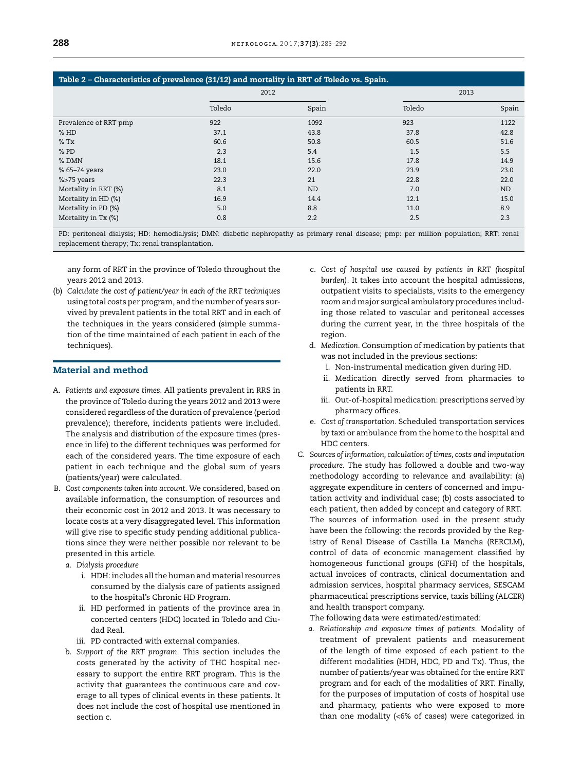<span id="page-3-0"></span>

| Table 2 - Characteristics of prevalence (31/12) and mortality in RRT of Toledo vs. Spain. |        |                |        |       |  |  |
|-------------------------------------------------------------------------------------------|--------|----------------|--------|-------|--|--|
|                                                                                           | 2012   |                | 2013   |       |  |  |
|                                                                                           | Toledo | Spain          | Toledo | Spain |  |  |
| Prevalence of RRT pmp                                                                     | 922    | 1092           | 923    | 1122  |  |  |
| % HD                                                                                      | 37.1   | 43.8           | 37.8   | 42.8  |  |  |
| $%$ Tx                                                                                    | 60.6   | 50.8           | 60.5   | 51.6  |  |  |
| $%$ PD                                                                                    | 2.3    | 5.4            | 1.5    | 5.5   |  |  |
| % DMN                                                                                     | 18.1   | 15.6           | 17.8   | 14.9  |  |  |
| % 65–74 years                                                                             | 23.0   | 22.0           | 23.9   | 23.0  |  |  |
| $%$ >75 years                                                                             | 22.3   | 21             | 22.8   | 22.0  |  |  |
| Mortality in RRT (%)                                                                      | 8.1    | N <sub>D</sub> | 7.0    | ND.   |  |  |
| Mortality in HD (%)                                                                       | 16.9   | 14.4           | 12.1   | 15.0  |  |  |
| Mortality in PD (%)                                                                       | 5.0    | 8.8            | 11.0   | 8.9   |  |  |
| Mortality in Tx (%)                                                                       | 0.8    | 2.2            | 2.5    | 2.3   |  |  |

PD: peritoneal dialysis; HD: hemodialysis; DMN: diabetic nephropathy as primary renal disease; pmp: per million population; RRT: renal replacement therapy; Tx: renal transplantation.

any form of RRT in the province of Toledo throughout the years 2012 and 2013.

(b) *Calculate the cost of patient/year in each of the RRT techniques* using total costs per program, and the number of years survived by prevalent patients in the total RRT and in each of the techniques in the years considered (simple summation of the time maintained of each patient in each of the techniques).

#### Material and method

- A. *Patients and exposure times.* All patients prevalent in RRS in the province of Toledo during the years 2012 and 2013 were considered regardless of the duration of prevalence (period prevalence); therefore, incidents patients were included. The analysis and distribution of the exposure times (presence in life) to the different techniques was performed for each of the considered years. The time exposure of each patient in each technique and the global sum of years (patients/year) were calculated.
- B. *Cost components taken into account*. We considered, based on available information, the consumption of resources and their economic cost in 2012 and 2013. It was necessary to locate costs at a very disaggregated level. This information will give rise to specific study pending additional publications since they were neither possible nor relevant to be presented in this article.
	- *a. Dialysis procedure*
		- i. HDH: includes all the human and material resources consumed by the dialysis care of patients assigned to the hospital's Chronic HD Program.
		- ii. HD performed in patients of the province area in concerted centers (HDC) located in Toledo and Ciudad Real.
		- iii. PD contracted with external companies.
	- b. *Support of the RRT program.* This section includes the costs generated by the activity of THC hospital necessary to support the entire RRT program. This is the activity that guarantees the continuous care and coverage to all types of clinical events in these patients. It does not include the cost of hospital use mentioned in section c.
- c. *Cost of hospital use caused by patients in RRT (hospital burden).* It takes into account the hospital admissions, outpatient visits to specialists, visits to the emergency room and major surgical ambulatory procedures including those related to vascular and peritoneal accesses during the current year, in the three hospitals of the region.
- d. *Medication.* Consumption of medication by patients that was not included in the previous sections:
	- i. Non-instrumental medication given during HD.
	- ii. Medication directly served from pharmacies to patients in RRT.
	- iii. Out-of-hospital medication: prescriptions served by pharmacy offices.
- e. *Cost of transportation.* Scheduled transportation services by taxi or ambulance from the home to the hospital and HDC centers.
- C. *Sources of information, calculation of times, costs and imputation procedure.* The study has followed a double and two-way methodology according to relevance and availability: (a) aggregate expenditure in centers of concerned and imputation activity and individual case; (b) costs associated to each patient, then added by concept and category of RRT. The sources of information used in the present study have been the following: the records provided by the Registry of Renal Disease of Castilla La Mancha (RERCLM), control of data of economic management classified by homogeneous functional groups (GFH) of the hospitals, actual invoices of contracts, clinical documentation and admission services, hospital pharmacy services, SESCAM pharmaceutical prescriptions service, taxis billing (ALCER) and health transport company.

The following data were estimated/estimated:

*a. Relationship and exposure times of patients*. Modality of treatment of prevalent patients and measurement of the length of time exposed of each patient to the different modalities (HDH, HDC, PD and Tx). Thus, the number of patients/year was obtained for the entire RRT program and for each of the modalities of RRT. Finally, for the purposes of imputation of costs of hospital use and pharmacy, patients who were exposed to more than one modality (<6% of cases) were categorized in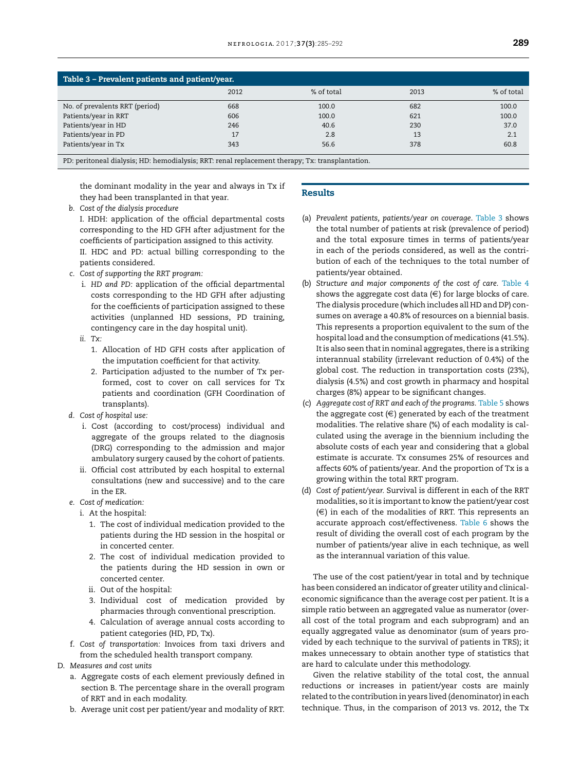| Table 3 - Prevalent patients and patient/year. |      |            |      |            |  |  |
|------------------------------------------------|------|------------|------|------------|--|--|
|                                                | 2012 | % of total | 2013 | % of total |  |  |
| No. of prevalents RRT (period)                 | 668  | 100.0      | 682  | 100.0      |  |  |
| Patients/year in RRT                           | 606  | 100.0      | 621  | 100.0      |  |  |
| Patients/year in HD                            | 246  | 40.6       | 230  | 37.0       |  |  |
| Patients/year in PD                            | 17   | 2.8        | 13   | 2.1        |  |  |
| Patients/year in Tx                            | 343  | 56.6       | 378  | 60.8       |  |  |

PD: peritoneal dialysis; HD: hemodialysis; RRT: renal replacement therapy; Tx: transplantation.

the dominant modality in the year and always in Tx if they had been transplanted in that year.

*b. Cost of the dialysis procedure*

I. HDH: application of the official departmental costs corresponding to the HD GFH after adjustment for the coefficients of participation assigned to this activity. II. HDC and PD: actual billing corresponding to the

patients considered.

- *c. Cost of supporting the RRT program:*
	- i. *HD and PD:* application of the official departmental costs corresponding to the HD GFH after adjusting for the coefficients of participation assigned to these activities (unplanned HD sessions, PD training, contingency care in the day hospital unit).
	- *ii. Tx:*
		- 1. Allocation of HD GFH costs after application of the imputation coefficient for that activity.
		- 2. Participation adjusted to the number of Tx performed, cost to cover on call services for Tx patients and coordination (GFH Coordination of transplants).
- *d. Cost of hospital use:*
	- i. Cost (according to cost/process) individual and aggregate of the groups related to the diagnosis (DRG) corresponding to the admission and major ambulatory surgery caused by the cohort of patients.
	- ii. Official cost attributed by each hospital to external consultations (new and successive) and to the care in the ER.
- *e. Cost of medication:*
	- i. At the hospital:
		- 1. The cost of individual medication provided to the patients during the HD session in the hospital or in concerted center.
		- 2. The cost of individual medication provided to the patients during the HD session in own or concerted center.
		- ii. Out of the hospital:
		- 3. Individual cost of medication provided by pharmacies through conventional prescription.
		- 4. Calculation of average annual costs according to patient categories (HD, PD, Tx).
- f. *Cost of transportation:* Invoices from taxi drivers and from the scheduled health transport company.
- D. *Measures and cost units*
	- a. Aggregate costs of each element previously defined in section B. The percentage share in the overall program of RRT and in each modality.
	- b. Average unit cost per patient/year and modality of RRT.

#### Results

- (a) *Prevalent patients, patients/year on coverage*. Table 3 shows the total number of patients at risk (prevalence of period) and the total exposure times in terms of patients/year in each of the periods considered, as well as the contribution of each of the techniques to the total number of patients/year obtained.
- (b) *Structure and major components of the cost of care.* [Table](#page-5-0) 4 shows the aggregate cost data  $(\in)$  for large blocks of care. The dialysis procedure (which includes all HD and DP) consumes on average a 40.8% of resources on a biennial basis. This represents a proportion equivalent to the sum of the hospital load and the consumption of medications (41.5%). It is also seen that in nominal aggregates, there is a striking interannual stability (irrelevant reduction of 0.4%) of the global cost. The reduction in transportation costs (23%), dialysis (4.5%) and cost growth in pharmacy and hospital charges (8%) appear to be significant changes.
- (c) *Aggregate cost of RRT and each of the programs.* [Table](#page-5-0) 5 shows the aggregate cost  $(\in)$  generated by each of the treatment modalities. The relative share (%) of each modality is calculated using the average in the biennium including the absolute costs of each year and considering that a global estimate is accurate. Tx consumes 25% of resources and affects 60% of patients/year. And the proportion of Tx is a growing within the total RRT program.
- (d) *Cost of patient/year.* Survival is different in each of the RRT modalities, so it is important to know the patient/year cost  $(\in)$  in each of the modalities of RRT. This represents an accurate approach cost/effectiveness. [Table](#page-5-0) 6 shows the result of dividing the overall cost of each program by the number of patients/year alive in each technique, as well as the interannual variation of this value.

The use of the cost patient/year in total and by technique has been considered an indicator of greater utility and clinicaleconomic significance than the average cost per patient. It is a simple ratio between an aggregated value as numerator (overall cost of the total program and each subprogram) and an equally aggregated value as denominator (sum of years provided by each technique to the survival of patients in TRS); it makes unnecessary to obtain another type of statistics that are hard to calculate under this methodology.

Given the relative stability of the total cost, the annual reductions or increases in patient/year costs are mainly related to the contribution in years lived (denominator) in each technique. Thus, in the comparison of 2013 vs. 2012, the Tx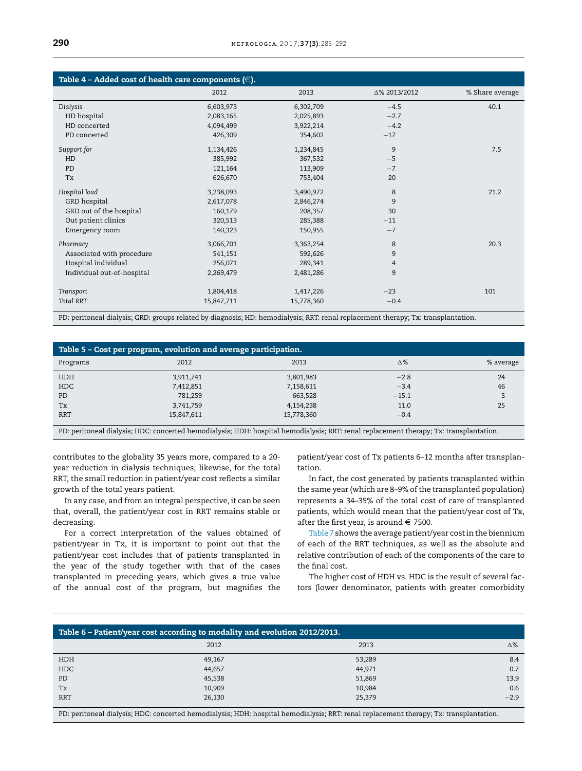<span id="page-5-0"></span>

| Table 4 - Added cost of health care components $(\in)$ . |            |            |                |                 |  |  |
|----------------------------------------------------------|------------|------------|----------------|-----------------|--|--|
|                                                          | 2012       | 2013       | △% 2013/2012   | % Share average |  |  |
| Dialysis                                                 | 6,603,973  | 6,302,709  | $-4.5$         | 40.1            |  |  |
| HD hospital                                              | 2,083,165  | 2,025,893  | $-2.7$         |                 |  |  |
| HD concerted                                             | 4,094,499  | 3,922,214  | $-4.2$         |                 |  |  |
| PD concerted                                             | 426,309    | 354,602    | $-17$          |                 |  |  |
| Support for                                              | 1,134,426  | 1,234,845  | 9              | 7.5             |  |  |
| HD                                                       | 385,992    | 367,532    | $-5$           |                 |  |  |
| PD                                                       | 121,164    | 113,909    | $-7$           |                 |  |  |
| Tx                                                       | 626,670    | 753,404    | 20             |                 |  |  |
| Hospital load                                            | 3,238,093  | 3,490,972  | 8              | 21.2            |  |  |
| GRD hospital                                             | 2,617,078  | 2,846,274  | 9              |                 |  |  |
| GRD out of the hospital                                  | 160,179    | 208,357    | 30             |                 |  |  |
| Out patient clinics                                      | 320,513    | 285,388    | $-11$          |                 |  |  |
| Emergency room                                           | 140,323    | 150,955    | $-7$           |                 |  |  |
| Pharmacy                                                 | 3,066,701  | 3,363,254  | 8              | 20.3            |  |  |
| Associated with procedure                                | 541,151    | 592,626    | 9              |                 |  |  |
| Hospital individual                                      | 256,071    | 289,341    | $\overline{4}$ |                 |  |  |
| Individual out-of-hospital                               | 2,269,479  | 2,481,286  | 9              |                 |  |  |
| Transport                                                | 1,804,418  | 1,417,226  | $-23$          | 101             |  |  |
| Total RRT                                                | 15,847,711 | 15,778,360 | $-0.4$         |                 |  |  |

PD: peritoneal dialysis; GRD: groups related by diagnosis; HD: hemodialysis; RRT: renal replacement therapy; Tx: transplantation.

| Table 5 - Cost per program, evolution and average participation. |            |            |            |           |  |  |  |
|------------------------------------------------------------------|------------|------------|------------|-----------|--|--|--|
| Programs                                                         | 2012       | 2013       | $\Delta\%$ | % average |  |  |  |
| <b>HDH</b>                                                       | 3,911,741  | 3,801,983  | $-2.8$     | 24        |  |  |  |
| <b>HDC</b>                                                       | 7,412,851  | 7,158,611  | $-3.4$     | 46        |  |  |  |
| <b>PD</b>                                                        | 781,259    | 663,528    | $-15.1$    |           |  |  |  |
| Tx                                                               | 3,741,759  | 4,154,238  | 11.0       | 25        |  |  |  |
| <b>RRT</b>                                                       | 15,847,611 | 15,778,360 | $-0.4$     |           |  |  |  |

PD: peritoneal dialysis; HDC: concerted hemodialysis; HDH: hospital hemodialysis; RRT: renal replacement therapy; Tx: transplantation.

contributes to the globality 35 years more, compared to a 20 year reduction in dialysis techniques; likewise, for the total RRT, the small reduction in patient/year cost reflects a similar growth of the total years patient.

In any case, and from an integral perspective, it can be seen that, overall, the patient/year cost in RRT remains stable or decreasing.

For a correct interpretation of the values obtained of patient/year in Tx, it is important to point out that the patient/year cost includes that of patients transplanted in the year of the study together with that of the cases transplanted in preceding years, which gives a true value of the annual cost of the program, but magnifies the

patient/year cost of Tx patients 6–12 months after transplantation.

In fact, the cost generated by patients transplanted within the same year (which are 8–9% of the transplanted population) represents a 34–35% of the total cost of care of transplanted patients, which would mean that the patient/year cost of Tx, after the first year, is around  $\in$  7500.

[Table](#page-6-0) 7 shows the average patient/year costin the biennium of each of the RRT techniques, as well as the absolute and relative contribution of each of the components of the care to the final cost.

The higher cost of HDH vs. HDC is the result of several factors (lower denominator, patients with greater comorbidity

| Table 6 – Patient/year cost according to modality and evolution 2012/2013. |        |        |            |  |  |
|----------------------------------------------------------------------------|--------|--------|------------|--|--|
|                                                                            | 2012   | 2013   | $\Delta\%$ |  |  |
| <b>HDH</b>                                                                 | 49,167 | 53,289 | 8.4        |  |  |
| <b>HDC</b>                                                                 | 44,657 | 44,971 | 0.7        |  |  |
| <b>PD</b>                                                                  | 45,538 | 51,869 | 13.9       |  |  |
| Tx                                                                         | 10,909 | 10,984 | 0.6        |  |  |
| <b>RRT</b>                                                                 | 26,130 | 25,379 | $-2.9$     |  |  |

PD: peritoneal dialysis; HDC: concerted hemodialysis; HDH: hospital hemodialysis; RRT: renal replacement therapy; Tx: transplantation.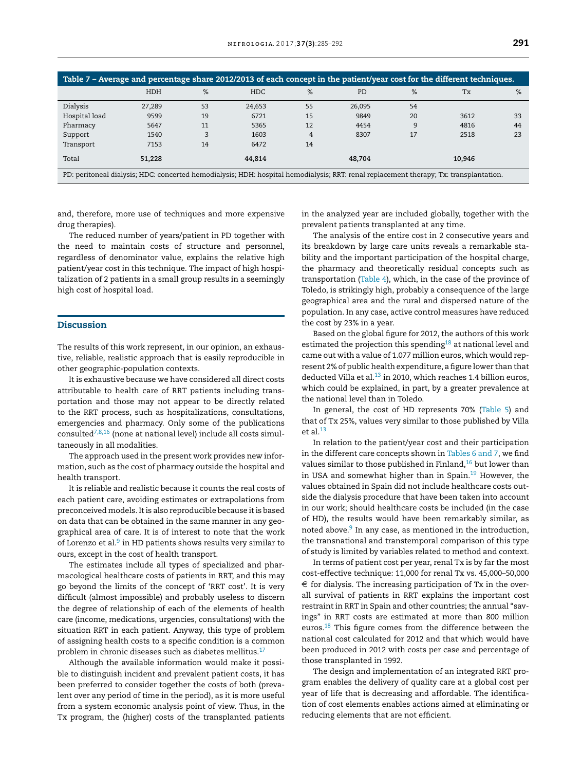<span id="page-6-0"></span>

| Table 7 – Average and percentage share 2012/2013 of each concept in the patient/year cost for the different techniques.                |            |    |            |    |           |      |        |    |
|----------------------------------------------------------------------------------------------------------------------------------------|------------|----|------------|----|-----------|------|--------|----|
|                                                                                                                                        | <b>HDH</b> | %  | <b>HDC</b> | %  | <b>PD</b> | $\%$ | Tx     | %  |
| <b>Dialysis</b>                                                                                                                        | 27,289     | 53 | 24,653     | 55 | 26,095    | 54   |        |    |
| Hospital load                                                                                                                          | 9599       | 19 | 6721       | 15 | 9849      | 20   | 3612   | 33 |
| Pharmacy                                                                                                                               | 5647       | 11 | 5365       | 12 | 4454      | 9    | 4816   | 44 |
| Support                                                                                                                                | 1540       | 3  | 1603       | 4  | 8307      | 17   | 2518   | 23 |
| Transport                                                                                                                              | 7153       | 14 | 6472       | 14 |           |      |        |    |
| Total                                                                                                                                  | 51,228     |    | 44,814     |    | 48.704    |      | 10.946 |    |
| PD: peritoneal dialysis; HDC: concerted hemodialysis; HDH: hospital hemodialysis; RRT: renal replacement therapy; Tx: transplantation. |            |    |            |    |           |      |        |    |

and, therefore, more use of techniques and more expensive drug therapies).

in the analyzed year are included globally, together with the prevalent patients transplanted at any time.

The reduced number of years/patient in PD together with the need to maintain costs of structure and personnel, regardless of denominator value, explains the relative high patient/year cost in this technique. The impact of high hospitalization of 2 patients in a small group results in a seemingly high cost of hospital load.

# Discussion

The results of this work represent, in our opinion, an exhaustive, reliable, realistic approach that is easily reproducible in other geographic-population contexts.

It is exhaustive because we have considered all direct costs attributable to health care of RRT patients including transportation and those may not appear to be directly related to the RRT process, such as hospitalizations, consultations, emergencies and pharmacy. Only some of the publications consulted<sup>[7,8,16](#page-7-0)</sup> (none at national level) include all costs simultaneously in all modalities.

The approach used in the present work provides new information, such as the cost of pharmacy outside the hospital and health transport.

It is reliable and realistic because it counts the real costs of each patient care, avoiding estimates or extrapolations from preconceived models. It is also reproducible because it is based on data that can be obtained in the same manner in any geographical area of care. It is of interest to note that the work of Lorenzo et al.<sup>[9](#page-7-0)</sup> in HD patients shows results very similar to ours, except in the cost of health transport.

The estimates include all types of specialized and pharmacological healthcare costs of patients in RRT, and this may go beyond the limits of the concept of 'RRT cost'. It is very difficult (almost impossible) and probably useless to discern the degree of relationship of each of the elements of health care (income, medications, urgencies, consultations) with the situation RRT in each patient. Anyway, this type of problem of assigning health costs to a specific condition is a common problem in chronic diseases such as diabetes mellitus.[17](#page-7-0)

Although the available information would make it possible to distinguish incident and prevalent patient costs, it has been preferred to consider together the costs of both (prevalent over any period of time in the period), as it is more useful from a system economic analysis point of view. Thus, in the Tx program, the (higher) costs of the transplanted patients

The analysis of the entire cost in 2 consecutive years and its breakdown by large care units reveals a remarkable stability and the important participation of the hospital charge, the pharmacy and theoretically residual concepts such as transportation ([Table](#page-5-0) 4), which, in the case of the province of Toledo, is strikingly high, probably a consequence of the large geographical area and the rural and dispersed nature of the population. In any case, active control measures have reduced the cost by 23% in a year.

Based on the global figure for 2012, the authors of this work estimated the projection this spending $18$  at national level and came out with a value of 1.077 million euros, which would represent 2% of public health expenditure, a figure lower than that deducted Villa et al.<sup>[13](#page-7-0)</sup> in 2010, which reaches 1.4 billion euros, which could be explained, in part, by a greater prevalence at the national level than in Toledo.

In general, the cost of HD represents 70% [\(Table](#page-5-0) 5) and that of Tx 25%, values very similar to those published by Villa et al. $^{13}$  $^{13}$  $^{13}$ 

In relation to the patient/year cost and their participation in the different care concepts shown in [Tables](#page-5-0) 6 and 7, we find values similar to those published in Finland, $^{16}$  $^{16}$  $^{16}$  but lower than in USA and somewhat higher than in Spain.<sup>[19](#page-7-0)</sup> However, the values obtained in Spain did not include healthcare costs outside the dialysis procedure that have been taken into account in our work; should healthcare costs be included (in the case of HD), the results would have been remarkably similar, as noted above.<sup>[9](#page-7-0)</sup> In any case, as mentioned in the introduction, the transnational and transtemporal comparison of this type of study is limited by variables related to method and context.

In terms of patient cost per year, renal Tx is by far the most cost-effective technique: 11,000 for renal Tx vs. 45,000–50,000  $\epsilon$  for dialysis. The increasing participation of Tx in the overall survival of patients in RRT explains the important cost restraint in RRT in Spain and other countries; the annual "savings" in RRT costs are estimated at more than 800 million euros.<sup>[18](#page-7-0)</sup> This figure comes from the difference between the national cost calculated for 2012 and that which would have been produced in 2012 with costs per case and percentage of those transplanted in 1992.

The design and implementation of an integrated RRT program enables the delivery of quality care at a global cost per year of life that is decreasing and affordable. The identification of cost elements enables actions aimed at eliminating or reducing elements that are not efficient.